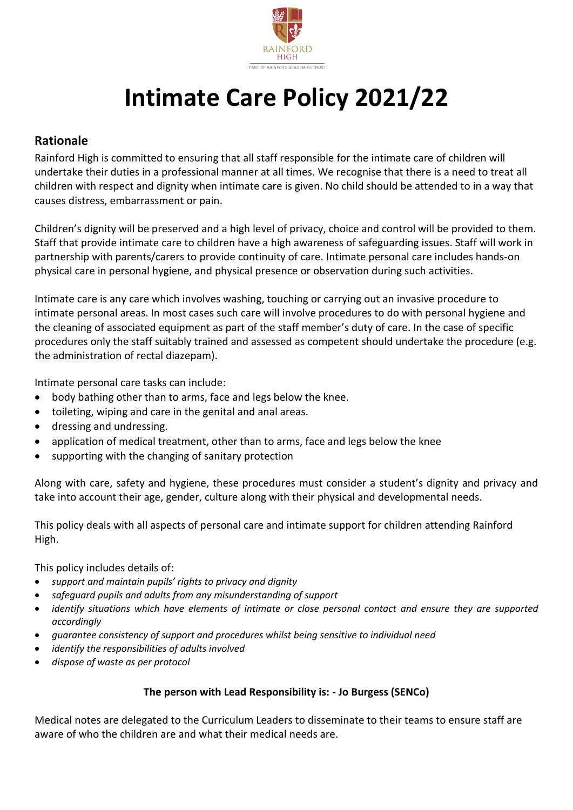

# **Intimate Care Policy 2021/22**

# **Rationale**

Rainford High is committed to ensuring that all staff responsible for the intimate care of children will undertake their duties in a professional manner at all times. We recognise that there is a need to treat all children with respect and dignity when intimate care is given. No child should be attended to in a way that causes distress, embarrassment or pain.

Children's dignity will be preserved and a high level of privacy, choice and control will be provided to them. Staff that provide intimate care to children have a high awareness of safeguarding issues. Staff will work in partnership with parents/carers to provide continuity of care. Intimate personal care includes hands-on physical care in personal hygiene, and physical presence or observation during such activities.

Intimate care is any care which involves washing, touching or carrying out an invasive procedure to intimate personal areas. In most cases such care will involve procedures to do with personal hygiene and the cleaning of associated equipment as part of the staff member's duty of care. In the case of specific procedures only the staff suitably trained and assessed as competent should undertake the procedure (e.g. the administration of rectal diazepam).

Intimate personal care tasks can include:

- body bathing other than to arms, face and legs below the knee.
- toileting, wiping and care in the genital and anal areas.
- dressing and undressing.
- application of medical treatment, other than to arms, face and legs below the knee
- supporting with the changing of sanitary protection

Along with care, safety and hygiene, these procedures must consider a student's dignity and privacy and take into account their age, gender, culture along with their physical and developmental needs.

This policy deals with all aspects of personal care and intimate support for children attending Rainford High.

This policy includes details of:

- *support and maintain pupils' rights to privacy and dignity*
- *safeguard pupils and adults from any misunderstanding of support*
- *identify situations which have elements of intimate or close personal contact and ensure they are supported accordingly*
- *guarantee consistency of support and procedures whilst being sensitive to individual need*
- *identify the responsibilities of adults involved*
- *dispose of waste as per protocol*

#### **The person with Lead Responsibility is: - Jo Burgess (SENCo)**

Medical notes are delegated to the Curriculum Leaders to disseminate to their teams to ensure staff are aware of who the children are and what their medical needs are.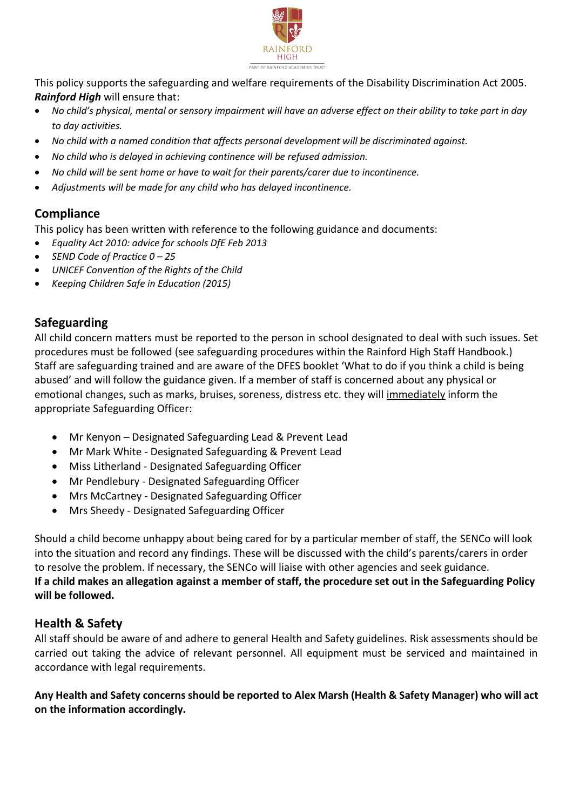

This policy supports the safeguarding and welfare requirements of the Disability Discrimination Act 2005. *Rainford High* will ensure that:

- *No child's physical, mental or sensory impairment will have an adverse effect on their ability to take part in day to day activities.*
- *No child with a named condition that affects personal development will be discriminated against.*
- *No child who is delayed in achieving continence will be refused admission.*
- *No child will be sent home or have to wait for their parents/carer due to incontinence.*
- *Adjustments will be made for any child who has delayed incontinence.*

# **Compliance**

This policy has been written with reference to the following guidance and documents:

- *Equality Act 2010: advice for schools DfE Feb 2013*
- *SEND Code of Practice 0 – 25*
- *UNICEF Convention of the Rights of the Child*
- *Keeping Children Safe in Education (2015)*

## **Safeguarding**

All child concern matters must be reported to the person in school designated to deal with such issues. Set procedures must be followed (see safeguarding procedures within the Rainford High Staff Handbook.) Staff are safeguarding trained and are aware of the DFES booklet 'What to do if you think a child is being abused' and will follow the guidance given. If a member of staff is concerned about any physical or emotional changes, such as marks, bruises, soreness, distress etc. they will immediately inform the appropriate Safeguarding Officer:

- Mr Kenyon Designated Safeguarding Lead & Prevent Lead
- Mr Mark White Designated Safeguarding & Prevent Lead
- Miss Litherland Designated Safeguarding Officer
- Mr Pendlebury Designated Safeguarding Officer
- Mrs McCartney Designated Safeguarding Officer
- Mrs Sheedy Designated Safeguarding Officer

Should a child become unhappy about being cared for by a particular member of staff, the SENCo will look into the situation and record any findings. These will be discussed with the child's parents/carers in order to resolve the problem. If necessary, the SENCo will liaise with other agencies and seek guidance. **If a child makes an allegation against a member of staff, the procedure set out in the Safeguarding Policy will be followed.** 

### **Health & Safety**

All staff should be aware of and adhere to general Health and Safety guidelines. Risk assessments should be carried out taking the advice of relevant personnel. All equipment must be serviced and maintained in accordance with legal requirements.

**Any Health and Safety concerns should be reported to Alex Marsh (Health & Safety Manager) who will act on the information accordingly.**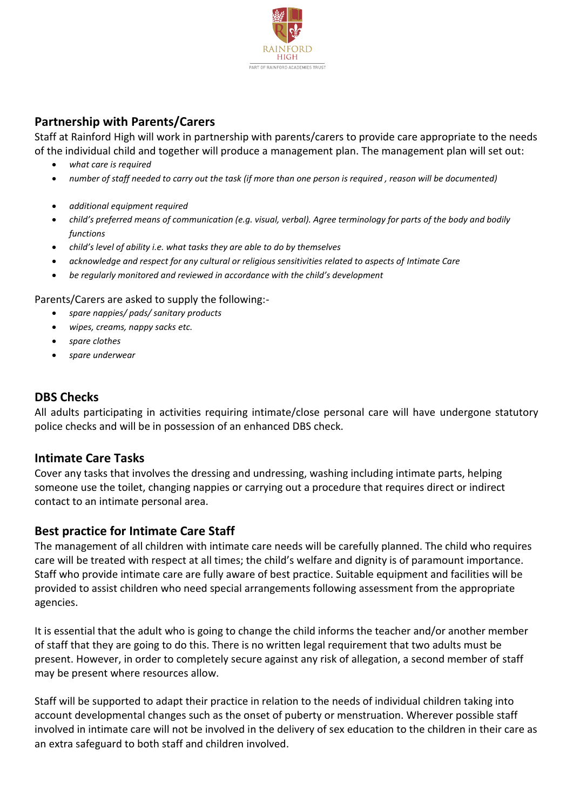

# **Partnership with Parents/Carers**

Staff at Rainford High will work in partnership with parents/carers to provide care appropriate to the needs of the individual child and together will produce a management plan. The management plan will set out:

- *what care is required*
- *number of staff needed to carry out the task (if more than one person is required , reason will be documented)*
- *additional equipment required*
- *child's preferred means of communication (e.g. visual, verbal). Agree terminology for parts of the body and bodily functions*
- *child's level of ability i.e. what tasks they are able to do by themselves*
- *acknowledge and respect for any cultural or religious sensitivities related to aspects of Intimate Care*
- *be regularly monitored and reviewed in accordance with the child's development*

#### Parents/Carers are asked to supply the following:-

- *spare nappies/ pads/ sanitary products*
- *wipes, creams, nappy sacks etc.*
- *spare clothes*
- *spare underwear*

## **DBS Checks**

All adults participating in activities requiring intimate/close personal care will have undergone statutory police checks and will be in possession of an enhanced DBS check.

### **Intimate Care Tasks**

Cover any tasks that involves the dressing and undressing, washing including intimate parts, helping someone use the toilet, changing nappies or carrying out a procedure that requires direct or indirect contact to an intimate personal area.

### **Best practice for Intimate Care Staff**

The management of all children with intimate care needs will be carefully planned. The child who requires care will be treated with respect at all times; the child's welfare and dignity is of paramount importance. Staff who provide intimate care are fully aware of best practice. Suitable equipment and facilities will be provided to assist children who need special arrangements following assessment from the appropriate agencies.

It is essential that the adult who is going to change the child informs the teacher and/or another member of staff that they are going to do this. There is no written legal requirement that two adults must be present. However, in order to completely secure against any risk of allegation, a second member of staff may be present where resources allow.

Staff will be supported to adapt their practice in relation to the needs of individual children taking into account developmental changes such as the onset of puberty or menstruation. Wherever possible staff involved in intimate care will not be involved in the delivery of sex education to the children in their care as an extra safeguard to both staff and children involved.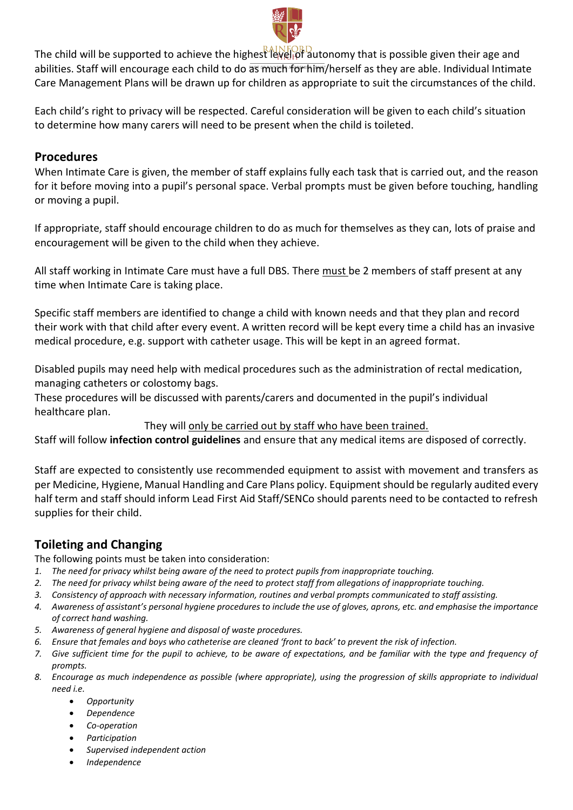

The child will be supported to achieve the highest level of autonomy that is possible given their age and abilities. Staff will encourage each child to do as much for him/herself as they are able. Individual Intimate Care Management Plans will be drawn up for children as appropriate to suit the circumstances of the child.

Each child's right to privacy will be respected. Careful consideration will be given to each child's situation to determine how many carers will need to be present when the child is toileted.

#### **Procedures**

When Intimate Care is given, the member of staff explains fully each task that is carried out, and the reason for it before moving into a pupil's personal space. Verbal prompts must be given before touching, handling or moving a pupil.

If appropriate, staff should encourage children to do as much for themselves as they can, lots of praise and encouragement will be given to the child when they achieve.

All staff working in Intimate Care must have a full DBS. There must be 2 members of staff present at any time when Intimate Care is taking place.

Specific staff members are identified to change a child with known needs and that they plan and record their work with that child after every event. A written record will be kept every time a child has an invasive medical procedure, e.g. support with catheter usage. This will be kept in an agreed format.

Disabled pupils may need help with medical procedures such as the administration of rectal medication, managing catheters or colostomy bags.

These procedures will be discussed with parents/carers and documented in the pupil's individual healthcare plan.

They will only be carried out by staff who have been trained.

Staff will follow **infection control guidelines** and ensure that any medical items are disposed of correctly.

Staff are expected to consistently use recommended equipment to assist with movement and transfers as per Medicine, Hygiene, Manual Handling and Care Plans policy. Equipment should be regularly audited every half term and staff should inform Lead First Aid Staff/SENCo should parents need to be contacted to refresh supplies for their child.

# **Toileting and Changing**

The following points must be taken into consideration:

- *1. The need for privacy whilst being aware of the need to protect pupils from inappropriate touching.*
- *2. The need for privacy whilst being aware of the need to protect staff from allegations of inappropriate touching.*
- *3. Consistency of approach with necessary information, routines and verbal prompts communicated to staff assisting.*
- *4. Awareness of assistant's personal hygiene procedures to include the use of gloves, aprons, etc. and emphasise the importance of correct hand washing.*
- *5. Awareness of general hygiene and disposal of waste procedures.*
- *6. Ensure that females and boys who catheterise are cleaned 'front to back' to prevent the risk of infection.*
- *7. Give sufficient time for the pupil to achieve, to be aware of expectations, and be familiar with the type and frequency of prompts.*
- *8. Encourage as much independence as possible (where appropriate), using the progression of skills appropriate to individual need i.e.*
	- *Opportunity*
	- *Dependence*
	- *Co-operation*
	- *Participation*
	- *Supervised independent action*
	- *Independence*